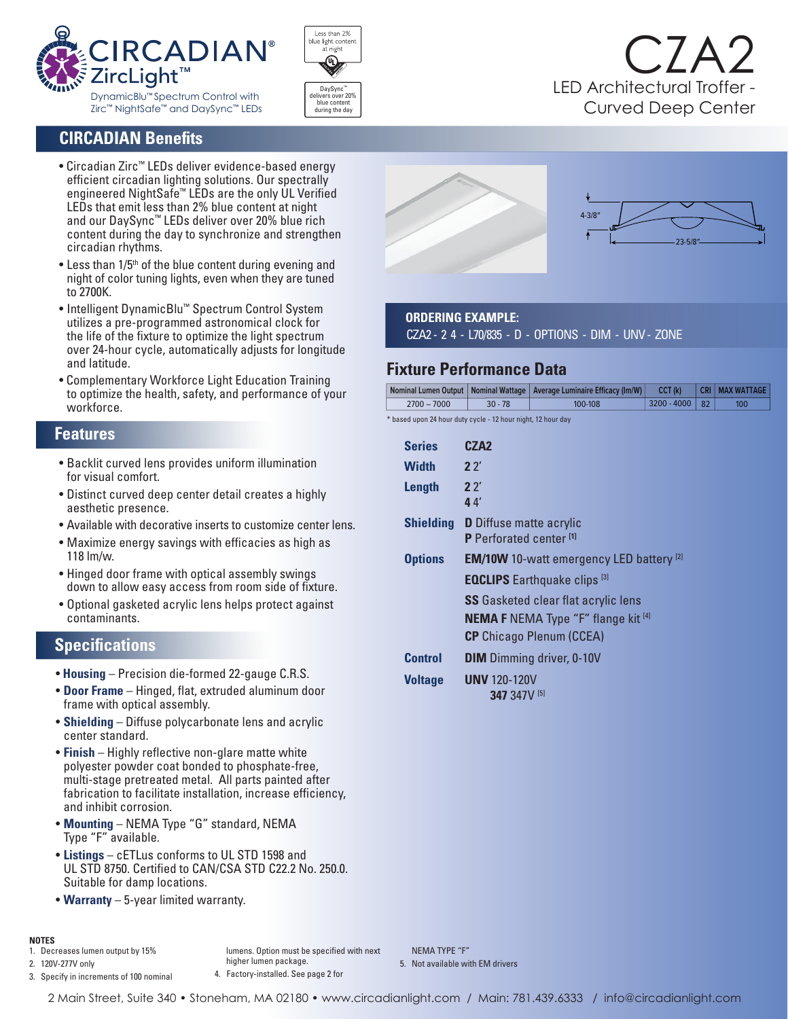



## **CIRCADIAN Benefits**

- Circadian Zirc™ LEDs deliver evidence-based energy efficient circadian lighting solutions. Our spectrally engineered NightSafe™ LEDs are the only UL Verified LEDs that emit less than 2% blue content at night and our DaySync™ LEDs deliver over 20% blue rich content during the day to synchronize and strengthen circadian rhythms.
- Less than  $1/5<sup>th</sup>$  of the blue content during evening and night of color tuning lights, even when they are tuned to 2700K.
- Intelligent DynamicBlu™ Spectrum Control System utilizes a pre-programmed astronomical clock for the life of the fixture to optimize the light spectrum over 24-hour cycle, automatically adjusts for longitude and latitude.
- Complementary Workforce Light Education Training to optimize the health, safety, and performance of your workforce.

#### **Features**

- Backlit curved lens provides uniform illumination for visual comfort.
- Distinct curved deep center detail creates a highly aesthetic presence.
- Available with decorative inserts to customize center lens.
- Maximize energy savings with efficacies as high as 118 lm/w.
- Hinged door frame with optical assembly swings down to allow easy access from room side of fixture.
- Optional gasketed acrylic lens helps protect against contaminants.

## **Specifications**

- **Housing** Precision die-formed 22-gauge C.R.S.
- **Door Frame** Hinged, flat, extruded aluminum door frame with optical assembly.
- **Shielding** Diffuse polycarbonate lens and acrylic center standard.
- **Finish** Highly reflective non-glare matte white polyester powder coat bonded to phosphate-free, multi-stage pretreated metal. All parts painted after fabrication to facilitate installation, increase efficiency, and inhibit corrosion.
- **Mounting** NEMA Type "G" standard, NEMA Type "F" available.
- **Listings** cETLus conforms to UL STD 1598 and UL STD 8750. Certified to CAN/CSA STD C22.2 No. 250.0. Suitable for damp locations.
- **Warranty** 5-year limited warranty.

### **NOTES**

1. Decreases lumen output by 15%

2. 120V-277V only 3. Specify in increments of 100 nominal

lumens. Option must be specified with next higher lumen package. 4. Factory-installed. See page 2 for

NEMA TYPE "F" 5. Not available with EM drivers



# **ORDERING EXAMPLE:**

CZA2 - 2 4 - L70/835 - D - OPTIONS - DIM - UNV - ZONE

# **Fixture Performance Data**

|               |           | Nominal Lumen Output   Nominal Wattage   Average Luminaire Efficacy (Im/W) | CCT (k)     |              | CRI   MAX WATTAGE |
|---------------|-----------|----------------------------------------------------------------------------|-------------|--------------|-------------------|
| $2700 - 7000$ | $30 - 78$ | 100-108                                                                    | 3200 - 4000 | $ 82\rangle$ | 100 <sub>1</sub>  |
|               |           |                                                                            |             |              |                   |

\* based upon 24 hour duty cycle - 12 hour night, 12 hour day

| <b>Series</b>    | CZA2                                                                 |
|------------------|----------------------------------------------------------------------|
| <b>Width</b>     | 22'                                                                  |
| <b>Length</b>    | 22'<br>44                                                            |
| <b>Shielding</b> | <b>D</b> Diffuse matte acrylic<br>P Perforated center <sup>[1]</sup> |
| <b>Options</b>   | <b>EM/10W</b> 10-watt emergency LED battery <sup>[2]</sup>           |
|                  | <b>EQCLIPS</b> Earthquake clips <sup>[3]</sup>                       |
|                  | <b>SS</b> Gasketed clear flat acrylic lens                           |
|                  | <b>NEMA F</b> NEMA Type "F" flange kit $[4]$                         |
|                  | <b>CP</b> Chicago Plenum (CCEA)                                      |
| <b>Control</b>   | <b>DIM</b> Dimming driver, 0-10V                                     |
| <b>Voltage</b>   | <b>UNV</b> 120-120V<br><b>347 347V [5]</b>                           |